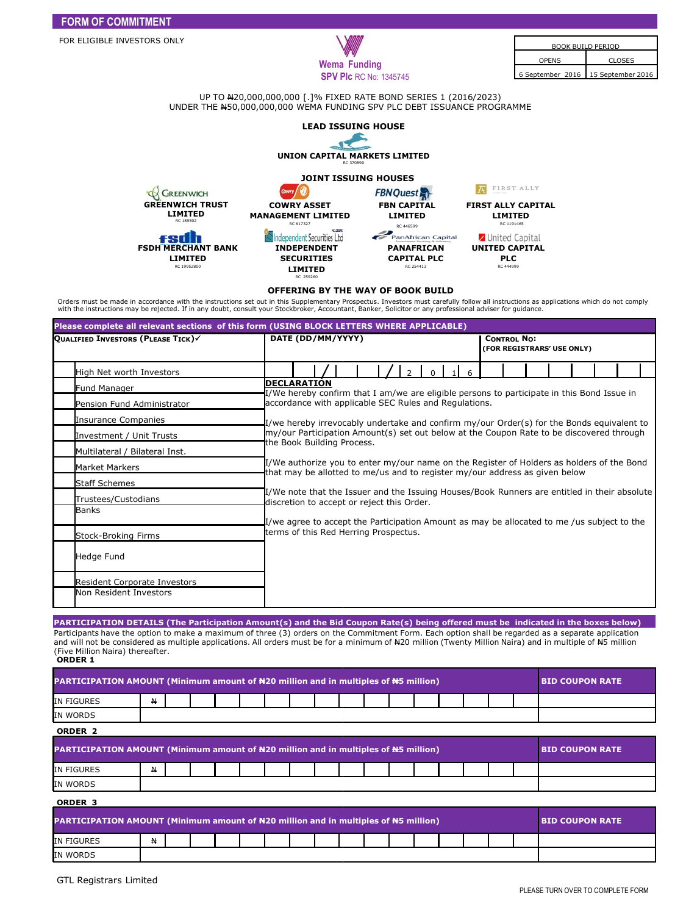UP TO N20,000,000,000 [.]% FIXED RATE BOND SERIES 1 (2016/2023) UNDER THE N50,000,000,000 WEMA FUNDING SPV PLC DEBT ISSUANCE PROGRAMME 50,000,000,000



## **OFFERING BY THE WAY OF BOOK BUILD**

Orders must be made in accordance with the instructions set out in this Supplementary Prospectus. Investors must carefully follow all instructions as applications which do not comply<br>with the instructions may be rejected.

| Please complete all relevant sections of this form (USING BLOCK LETTERS WHERE APPLICABLE) |                                                                                                                                                                          |                                                                                                                                                                                                                                                                        |  |  |  |  |  |  |  |  |                                                  |  |  |  |  |  |  |  |  |
|-------------------------------------------------------------------------------------------|--------------------------------------------------------------------------------------------------------------------------------------------------------------------------|------------------------------------------------------------------------------------------------------------------------------------------------------------------------------------------------------------------------------------------------------------------------|--|--|--|--|--|--|--|--|--------------------------------------------------|--|--|--|--|--|--|--|--|
| QUALIFIED INVESTORS (PLEASE TICK)                                                         | DATE (DD/MM/YYYY)                                                                                                                                                        |                                                                                                                                                                                                                                                                        |  |  |  |  |  |  |  |  | <b>CONTROL NO:</b><br>(FOR REGISTRARS' USE ONLY) |  |  |  |  |  |  |  |  |
| High Net worth Investors                                                                  | $\overline{\phantom{a}}$                                                                                                                                                 |                                                                                                                                                                                                                                                                        |  |  |  |  |  |  |  |  | 6                                                |  |  |  |  |  |  |  |  |
| Fund Manager                                                                              |                                                                                                                                                                          | <b>DECLARATION</b><br>I/We hereby confirm that I am/we are eligible persons to participate in this Bond Issue in<br>accordance with applicable SEC Rules and Regulations.<br>I/we hereby irrevocably undertake and confirm my/our Order(s) for the Bonds equivalent to |  |  |  |  |  |  |  |  |                                                  |  |  |  |  |  |  |  |  |
| Pension Fund Administrator                                                                |                                                                                                                                                                          |                                                                                                                                                                                                                                                                        |  |  |  |  |  |  |  |  |                                                  |  |  |  |  |  |  |  |  |
| Insurance Companies                                                                       |                                                                                                                                                                          |                                                                                                                                                                                                                                                                        |  |  |  |  |  |  |  |  |                                                  |  |  |  |  |  |  |  |  |
| Investment / Unit Trusts                                                                  |                                                                                                                                                                          | my/our Participation Amount(s) set out below at the Coupon Rate to be discovered through<br>the Book Building Process.                                                                                                                                                 |  |  |  |  |  |  |  |  |                                                  |  |  |  |  |  |  |  |  |
| Multilateral / Bilateral Inst.                                                            |                                                                                                                                                                          |                                                                                                                                                                                                                                                                        |  |  |  |  |  |  |  |  |                                                  |  |  |  |  |  |  |  |  |
| <b>Market Markers</b>                                                                     | I/We authorize you to enter my/our name on the Register of Holders as holders of the Bond<br>that may be allotted to me/us and to register my/our address as given below |                                                                                                                                                                                                                                                                        |  |  |  |  |  |  |  |  |                                                  |  |  |  |  |  |  |  |  |
| <b>Staff Schemes</b>                                                                      |                                                                                                                                                                          |                                                                                                                                                                                                                                                                        |  |  |  |  |  |  |  |  |                                                  |  |  |  |  |  |  |  |  |
| Trustees/Custodians                                                                       |                                                                                                                                                                          | I/We note that the Issuer and the Issuing Houses/Book Runners are entitled in their absolute<br>discretion to accept or reject this Order.                                                                                                                             |  |  |  |  |  |  |  |  |                                                  |  |  |  |  |  |  |  |  |
| <b>Banks</b>                                                                              |                                                                                                                                                                          |                                                                                                                                                                                                                                                                        |  |  |  |  |  |  |  |  |                                                  |  |  |  |  |  |  |  |  |
| Stock-Broking Firms                                                                       | I/we agree to accept the Participation Amount as may be allocated to me /us subject to the<br>terms of this Red Herring Prospectus.                                      |                                                                                                                                                                                                                                                                        |  |  |  |  |  |  |  |  |                                                  |  |  |  |  |  |  |  |  |
| Hedge Fund                                                                                |                                                                                                                                                                          |                                                                                                                                                                                                                                                                        |  |  |  |  |  |  |  |  |                                                  |  |  |  |  |  |  |  |  |
| <b>Resident Corporate Investors</b>                                                       |                                                                                                                                                                          |                                                                                                                                                                                                                                                                        |  |  |  |  |  |  |  |  |                                                  |  |  |  |  |  |  |  |  |
| Non Resident Investors                                                                    |                                                                                                                                                                          |                                                                                                                                                                                                                                                                        |  |  |  |  |  |  |  |  |                                                  |  |  |  |  |  |  |  |  |

**PARTICIPATION DETAILS (The Participation Amount(s) and the Bid Coupon Rate(s) being offered must be indicated in the boxes below)** Participants have the option to make a maximum of three (3) orders on the Commitment Form. Each option shall be regarded as a separate application and will not be considered as multiple applications. All orders must be for a minimum of N20 million (Twenty Million Naira) and in multiple of N5 million (Five Million Naira) thereafter. **ORDER 1**

| PARTICIPATION AMOUNT (Minimum amount of #20 million and in multiples of #5 million) |    |  |  |  |  |  |  |  |  |  | <b>BID COUPON RATE</b> |  |  |  |                        |
|-------------------------------------------------------------------------------------|----|--|--|--|--|--|--|--|--|--|------------------------|--|--|--|------------------------|
| IN FIGURES                                                                          | 44 |  |  |  |  |  |  |  |  |  |                        |  |  |  |                        |
| IN WORDS                                                                            |    |  |  |  |  |  |  |  |  |  |                        |  |  |  |                        |
| ORDER <sub>2</sub>                                                                  |    |  |  |  |  |  |  |  |  |  |                        |  |  |  |                        |
| PARTICIPATION AMOUNT (Minimum amount of #20 million and in multiples of #5 million) |    |  |  |  |  |  |  |  |  |  |                        |  |  |  | <b>BID COUPON RATE</b> |
| IN FIGURES                                                                          | ₩  |  |  |  |  |  |  |  |  |  |                        |  |  |  |                        |
| IN WORDS                                                                            |    |  |  |  |  |  |  |  |  |  |                        |  |  |  |                        |
| ORDER <sub>3</sub>                                                                  |    |  |  |  |  |  |  |  |  |  |                        |  |  |  |                        |
| PARTICIPATION AMOUNT (Minimum amount of #20 million and in multiples of #5 million) |    |  |  |  |  |  |  |  |  |  | <b>BID COUPON RATE</b> |  |  |  |                        |
| IN FIGURES                                                                          | ₩  |  |  |  |  |  |  |  |  |  |                        |  |  |  |                        |
| <b>IN WORDS</b>                                                                     |    |  |  |  |  |  |  |  |  |  |                        |  |  |  |                        |

**FORM OF COMMITMENT**

FOR ELIGIBLE INVESTORS ONLY